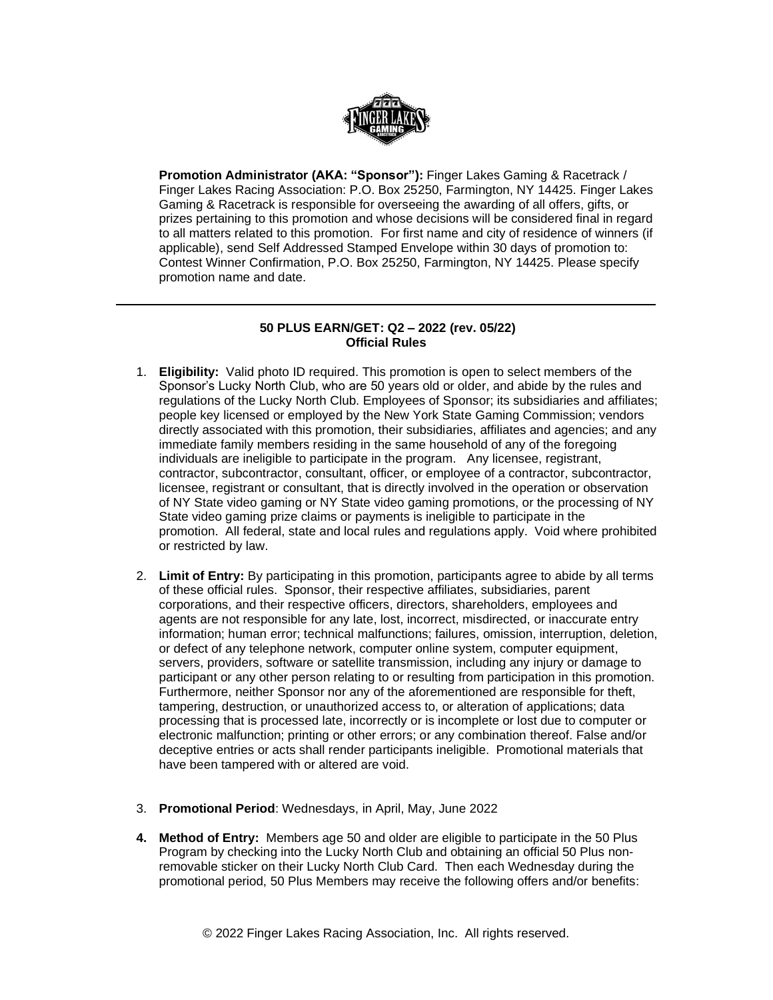

**Promotion Administrator (AKA: "Sponsor"):** Finger Lakes Gaming & Racetrack / Finger Lakes Racing Association: P.O. Box 25250, Farmington, NY 14425. Finger Lakes Gaming & Racetrack is responsible for overseeing the awarding of all offers, gifts, or prizes pertaining to this promotion and whose decisions will be considered final in regard to all matters related to this promotion. For first name and city of residence of winners (if applicable), send Self Addressed Stamped Envelope within 30 days of promotion to: Contest Winner Confirmation, P.O. Box 25250, Farmington, NY 14425. Please specify promotion name and date.

## **50 PLUS EARN/GET: Q2 – 2022 (rev. 05/22) Official Rules**

- 1. **Eligibility:** Valid photo ID required. This promotion is open to select members of the Sponsor's Lucky North Club, who are 50 years old or older, and abide by the rules and regulations of the Lucky North Club. Employees of Sponsor; its subsidiaries and affiliates; people key licensed or employed by the New York State Gaming Commission; vendors directly associated with this promotion, their subsidiaries, affiliates and agencies; and any immediate family members residing in the same household of any of the foregoing individuals are ineligible to participate in the program. Any licensee, registrant, contractor, subcontractor, consultant, officer, or employee of a contractor, subcontractor, licensee, registrant or consultant, that is directly involved in the operation or observation of NY State video gaming or NY State video gaming promotions, or the processing of NY State video gaming prize claims or payments is ineligible to participate in the promotion. All federal, state and local rules and regulations apply. Void where prohibited or restricted by law.
- 2. **Limit of Entry:** By participating in this promotion, participants agree to abide by all terms of these official rules. Sponsor, their respective affiliates, subsidiaries, parent corporations, and their respective officers, directors, shareholders, employees and agents are not responsible for any late, lost, incorrect, misdirected, or inaccurate entry information; human error; technical malfunctions; failures, omission, interruption, deletion, or defect of any telephone network, computer online system, computer equipment, servers, providers, software or satellite transmission, including any injury or damage to participant or any other person relating to or resulting from participation in this promotion. Furthermore, neither Sponsor nor any of the aforementioned are responsible for theft, tampering, destruction, or unauthorized access to, or alteration of applications; data processing that is processed late, incorrectly or is incomplete or lost due to computer or electronic malfunction; printing or other errors; or any combination thereof. False and/or deceptive entries or acts shall render participants ineligible. Promotional materials that have been tampered with or altered are void.
- 3. **Promotional Period**: Wednesdays, in April, May, June 2022
- **4. Method of Entry:** Members age 50 and older are eligible to participate in the 50 Plus Program by checking into the Lucky North Club and obtaining an official 50 Plus nonremovable sticker on their Lucky North Club Card. Then each Wednesday during the promotional period, 50 Plus Members may receive the following offers and/or benefits: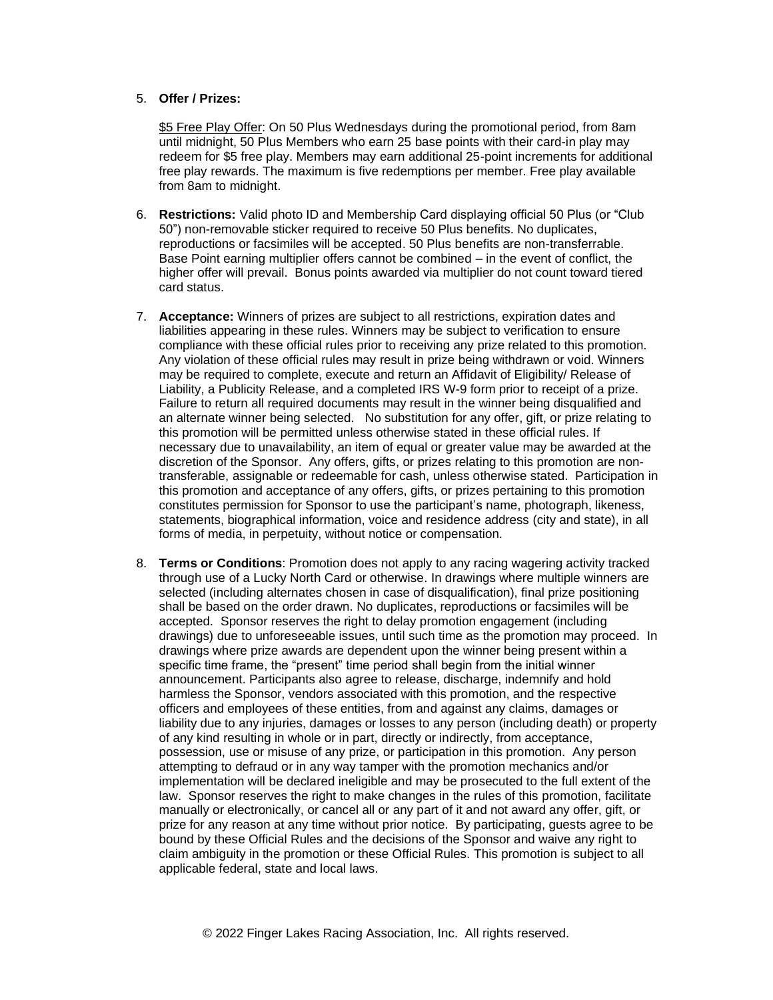## 5. **Offer / Prizes:**

\$5 Free Play Offer: On 50 Plus Wednesdays during the promotional period, from 8am until midnight, 50 Plus Members who earn 25 base points with their card-in play may redeem for \$5 free play. Members may earn additional 25-point increments for additional free play rewards. The maximum is five redemptions per member. Free play available from 8am to midnight.

- 6. **Restrictions:** Valid photo ID and Membership Card displaying official 50 Plus (or "Club 50") non-removable sticker required to receive 50 Plus benefits. No duplicates, reproductions or facsimiles will be accepted. 50 Plus benefits are non-transferrable. Base Point earning multiplier offers cannot be combined – in the event of conflict, the higher offer will prevail. Bonus points awarded via multiplier do not count toward tiered card status.
- 7. **Acceptance:** Winners of prizes are subject to all restrictions, expiration dates and liabilities appearing in these rules. Winners may be subject to verification to ensure compliance with these official rules prior to receiving any prize related to this promotion. Any violation of these official rules may result in prize being withdrawn or void. Winners may be required to complete, execute and return an Affidavit of Eligibility/ Release of Liability, a Publicity Release, and a completed IRS W-9 form prior to receipt of a prize. Failure to return all required documents may result in the winner being disqualified and an alternate winner being selected. No substitution for any offer, gift, or prize relating to this promotion will be permitted unless otherwise stated in these official rules. If necessary due to unavailability, an item of equal or greater value may be awarded at the discretion of the Sponsor. Any offers, gifts, or prizes relating to this promotion are nontransferable, assignable or redeemable for cash, unless otherwise stated. Participation in this promotion and acceptance of any offers, gifts, or prizes pertaining to this promotion constitutes permission for Sponsor to use the participant's name, photograph, likeness, statements, biographical information, voice and residence address (city and state), in all forms of media, in perpetuity, without notice or compensation.
- 8. **Terms or Conditions**: Promotion does not apply to any racing wagering activity tracked through use of a Lucky North Card or otherwise. In drawings where multiple winners are selected (including alternates chosen in case of disqualification), final prize positioning shall be based on the order drawn. No duplicates, reproductions or facsimiles will be accepted. Sponsor reserves the right to delay promotion engagement (including drawings) due to unforeseeable issues, until such time as the promotion may proceed. In drawings where prize awards are dependent upon the winner being present within a specific time frame, the "present" time period shall begin from the initial winner announcement. Participants also agree to release, discharge, indemnify and hold harmless the Sponsor, vendors associated with this promotion, and the respective officers and employees of these entities, from and against any claims, damages or liability due to any injuries, damages or losses to any person (including death) or property of any kind resulting in whole or in part, directly or indirectly, from acceptance, possession, use or misuse of any prize, or participation in this promotion. Any person attempting to defraud or in any way tamper with the promotion mechanics and/or implementation will be declared ineligible and may be prosecuted to the full extent of the law. Sponsor reserves the right to make changes in the rules of this promotion, facilitate manually or electronically, or cancel all or any part of it and not award any offer, gift, or prize for any reason at any time without prior notice. By participating, guests agree to be bound by these Official Rules and the decisions of the Sponsor and waive any right to claim ambiguity in the promotion or these Official Rules. This promotion is subject to all applicable federal, state and local laws.